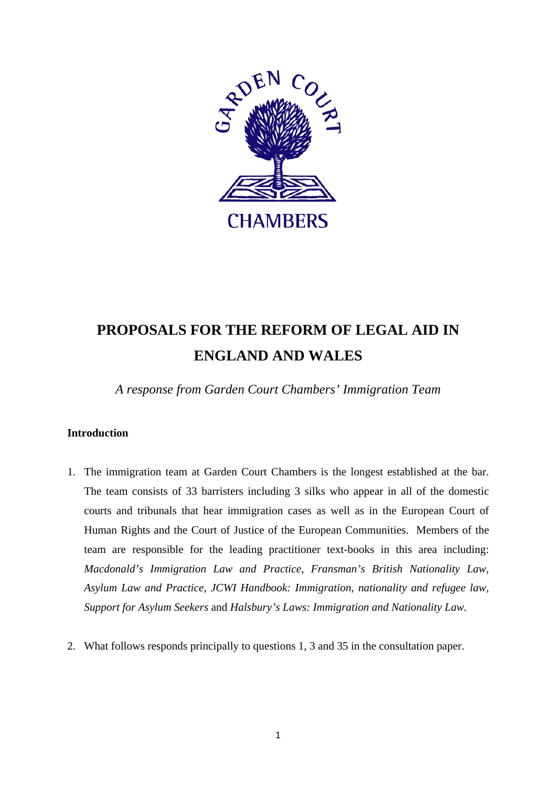

# **PROPOSALS FOR THE REFORM OF LEGAL AID IN ENGLAND AND WALES**

*A response from Garden Court Chambers' Immigration Team* 

# **Introduction**

- 1. The immigration team at Garden Court Chambers is the longest established at the bar. The team consists of 33 barristers including 3 silks who appear in all of the domestic courts and tribunals that hear immigration cases as well as in the European Court of Human Rights and the Court of Justice of the European Communities. Members of the team are responsible for the leading practitioner text-books in this area including: *Macdonald's Immigration Law and Practice, Fransman's British Nationality Law, Asylum Law and Practice, JCWI Handbook: Immigration, nationality and refugee law, Support for Asylum Seekers* and *Halsbury's Laws: Immigration and Nationality Law.*
- 2. What follows responds principally to questions 1, 3 and 35 in the consultation paper.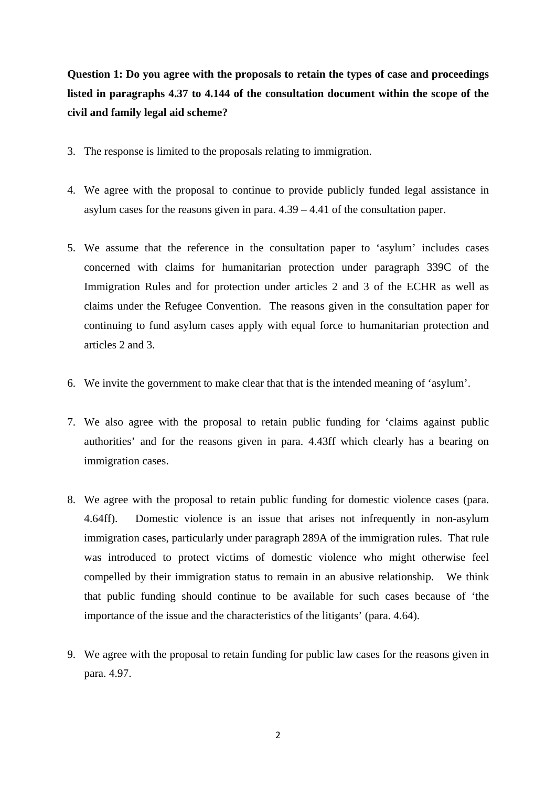**Question 1: Do you agree with the proposals to retain the types of case and proceedings listed in paragraphs 4.37 to 4.144 of the consultation document within the scope of the civil and family legal aid scheme?** 

- 3. The response is limited to the proposals relating to immigration.
- 4. We agree with the proposal to continue to provide publicly funded legal assistance in asylum cases for the reasons given in para. 4.39 – 4.41 of the consultation paper.
- 5. We assume that the reference in the consultation paper to 'asylum' includes cases concerned with claims for humanitarian protection under paragraph 339C of the Immigration Rules and for protection under articles 2 and 3 of the ECHR as well as claims under the Refugee Convention. The reasons given in the consultation paper for continuing to fund asylum cases apply with equal force to humanitarian protection and articles 2 and 3.
- 6. We invite the government to make clear that that is the intended meaning of 'asylum'.
- 7. We also agree with the proposal to retain public funding for 'claims against public authorities' and for the reasons given in para. 4.43ff which clearly has a bearing on immigration cases.
- 8. We agree with the proposal to retain public funding for domestic violence cases (para. 4.64ff). Domestic violence is an issue that arises not infrequently in non-asylum immigration cases, particularly under paragraph 289A of the immigration rules. That rule was introduced to protect victims of domestic violence who might otherwise feel compelled by their immigration status to remain in an abusive relationship. We think that public funding should continue to be available for such cases because of 'the importance of the issue and the characteristics of the litigants' (para. 4.64).
- 9. We agree with the proposal to retain funding for public law cases for the reasons given in para. 4.97.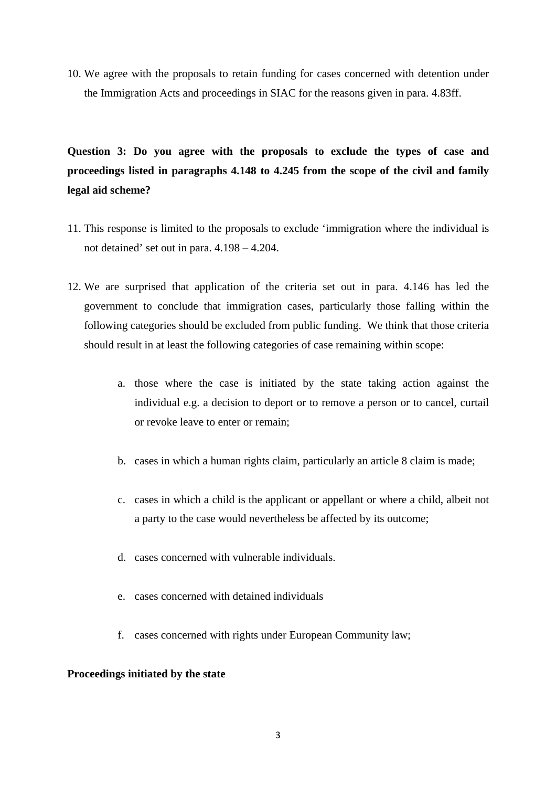10. We agree with the proposals to retain funding for cases concerned with detention under the Immigration Acts and proceedings in SIAC for the reasons given in para. 4.83ff.

**Question 3: Do you agree with the proposals to exclude the types of case and proceedings listed in paragraphs 4.148 to 4.245 from the scope of the civil and family legal aid scheme?** 

- 11. This response is limited to the proposals to exclude 'immigration where the individual is not detained' set out in para. 4.198 – 4.204.
- 12. We are surprised that application of the criteria set out in para. 4.146 has led the government to conclude that immigration cases, particularly those falling within the following categories should be excluded from public funding. We think that those criteria should result in at least the following categories of case remaining within scope:
	- a. those where the case is initiated by the state taking action against the individual e.g. a decision to deport or to remove a person or to cancel, curtail or revoke leave to enter or remain;
	- b. cases in which a human rights claim, particularly an article 8 claim is made;
	- c. cases in which a child is the applicant or appellant or where a child, albeit not a party to the case would nevertheless be affected by its outcome;
	- d. cases concerned with vulnerable individuals.
	- e. cases concerned with detained individuals
	- f. cases concerned with rights under European Community law;

# **Proceedings initiated by the state**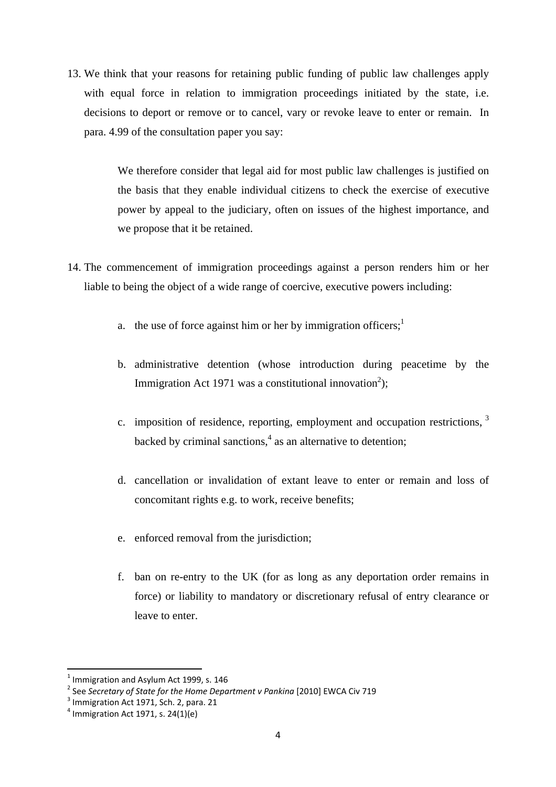13. We think that your reasons for retaining public funding of public law challenges apply with equal force in relation to immigration proceedings initiated by the state, i.e. decisions to deport or remove or to cancel, vary or revoke leave to enter or remain. In para. 4.99 of the consultation paper you say:

> We therefore consider that legal aid for most public law challenges is justified on the basis that they enable individual citizens to check the exercise of executive power by appeal to the judiciary, often on issues of the highest importance, and we propose that it be retained.

- 14. The commencement of immigration proceedings against a person renders him or her liable to being the object of a wide range of coercive, executive powers including:
	- a. the use of force against him or her by immigration officers;<sup>1</sup>
	- b. administrative detention (whose introduction during peacetime by the Immigration Act 1971 was a constitutional innovation<sup>2</sup>);
	- c. imposition of residence, reporting, employment and occupation restrictions, 3 backed by criminal sanctions,<sup>4</sup> as an alternative to detention;
	- d. cancellation or invalidation of extant leave to enter or remain and loss of concomitant rights e.g. to work, receive benefits;
	- e. enforced removal from the jurisdiction;
	- f. ban on re-entry to the UK (for as long as any deportation order remains in force) or liability to mandatory or discretionary refusal of entry clearance or leave to enter.

 $^1$  Immigration and Asylum Act 1999, s. 146

<sup>&</sup>lt;sup>2</sup> See *Secretary of State for the Home Department v Pankina* [2010] EWCA Civ 719<br><sup>3</sup> Immigration Act 1071, Seb. 2, 2019, 21

 $3$  Immigration Act 1971, Sch. 2, para. 21

 $4$  Immigration Act 1971, s. 24(1)(e)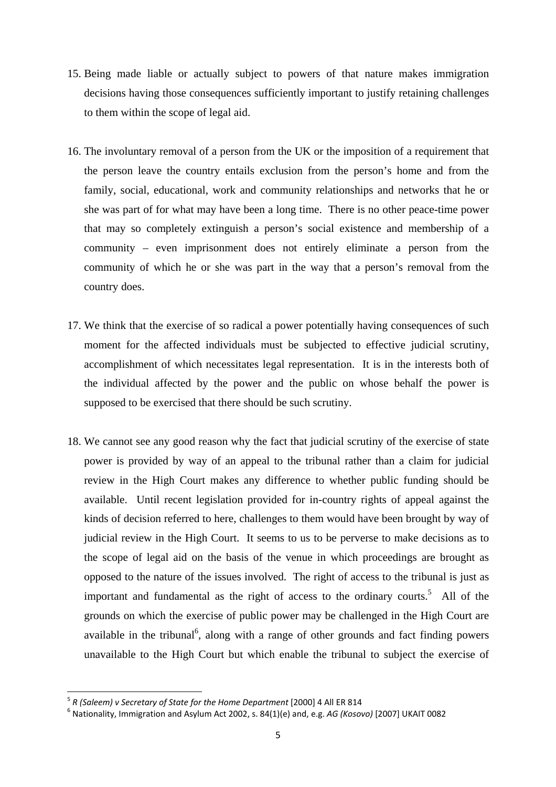- 15. Being made liable or actually subject to powers of that nature makes immigration decisions having those consequences sufficiently important to justify retaining challenges to them within the scope of legal aid.
- 16. The involuntary removal of a person from the UK or the imposition of a requirement that the person leave the country entails exclusion from the person's home and from the family, social, educational, work and community relationships and networks that he or she was part of for what may have been a long time. There is no other peace-time power that may so completely extinguish a person's social existence and membership of a community – even imprisonment does not entirely eliminate a person from the community of which he or she was part in the way that a person's removal from the country does.
- 17. We think that the exercise of so radical a power potentially having consequences of such moment for the affected individuals must be subjected to effective judicial scrutiny, accomplishment of which necessitates legal representation. It is in the interests both of the individual affected by the power and the public on whose behalf the power is supposed to be exercised that there should be such scrutiny.
- 18. We cannot see any good reason why the fact that judicial scrutiny of the exercise of state power is provided by way of an appeal to the tribunal rather than a claim for judicial review in the High Court makes any difference to whether public funding should be available. Until recent legislation provided for in-country rights of appeal against the kinds of decision referred to here, challenges to them would have been brought by way of judicial review in the High Court. It seems to us to be perverse to make decisions as to the scope of legal aid on the basis of the venue in which proceedings are brought as opposed to the nature of the issues involved. The right of access to the tribunal is just as important and fundamental as the right of access to the ordinary courts.<sup>5</sup> All of the grounds on which the exercise of public power may be challenged in the High Court are available in the tribunal<sup>6</sup>, along with a range of other grounds and fact finding powers unavailable to the High Court but which enable the tribunal to subject the exercise of

<sup>&</sup>lt;sup>5</sup> R (Saleem) v Secretary of State for the Home Department [2000] 4 All ER 814

<sup>&</sup>lt;sup>6</sup> Nationality, Immigration and Asylum Act 2002, s. 84(1)(e) and, e.g. *AG (Kosovo)* [2007] UKAIT 0082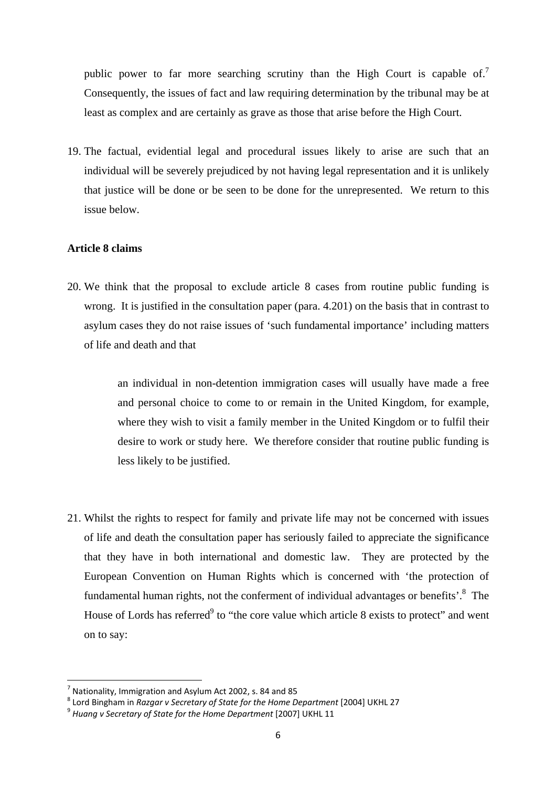public power to far more searching scrutiny than the High Court is capable of.<sup>7</sup> Consequently, the issues of fact and law requiring determination by the tribunal may be at least as complex and are certainly as grave as those that arise before the High Court.

19. The factual, evidential legal and procedural issues likely to arise are such that an individual will be severely prejudiced by not having legal representation and it is unlikely that justice will be done or be seen to be done for the unrepresented. We return to this issue below.

# **Article 8 claims**

20. We think that the proposal to exclude article 8 cases from routine public funding is wrong. It is justified in the consultation paper (para. 4.201) on the basis that in contrast to asylum cases they do not raise issues of 'such fundamental importance' including matters of life and death and that

> an individual in non-detention immigration cases will usually have made a free and personal choice to come to or remain in the United Kingdom, for example, where they wish to visit a family member in the United Kingdom or to fulfil their desire to work or study here. We therefore consider that routine public funding is less likely to be justified.

21. Whilst the rights to respect for family and private life may not be concerned with issues of life and death the consultation paper has seriously failed to appreciate the significance that they have in both international and domestic law. They are protected by the European Convention on Human Rights which is concerned with 'the protection of fundamental human rights, not the conferment of individual advantages or benefits'.<sup>8</sup> The House of Lords has referred<sup>9</sup> to "the core value which article 8 exists to protect" and went on to say:

<sup>7</sup> Nationality, Immigration and Asylum Act 2002, s. 84 and 85

 $^8$  Lord Bingham in *Razgar v Secretary of State for the Home Department* [2004] UKHL 27<br><sup>9</sup> *Huang v Secretary of State for the Home Department* [2007] UKHL 11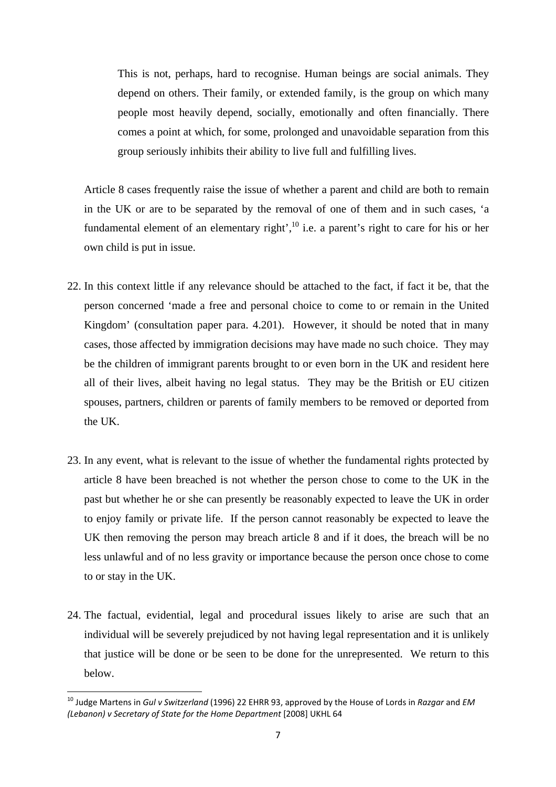This is not, perhaps, hard to recognise. Human beings are social animals. They depend on others. Their family, or extended family, is the group on which many people most heavily depend, socially, emotionally and often financially. There comes a point at which, for some, prolonged and unavoidable separation from this group seriously inhibits their ability to live full and fulfilling lives.

Article 8 cases frequently raise the issue of whether a parent and child are both to remain in the UK or are to be separated by the removal of one of them and in such cases, 'a fundamental element of an elementary right', $10$  i.e. a parent's right to care for his or her own child is put in issue.

- 22. In this context little if any relevance should be attached to the fact, if fact it be, that the person concerned 'made a free and personal choice to come to or remain in the United Kingdom' (consultation paper para. 4.201). However, it should be noted that in many cases, those affected by immigration decisions may have made no such choice. They may be the children of immigrant parents brought to or even born in the UK and resident here all of their lives, albeit having no legal status. They may be the British or EU citizen spouses, partners, children or parents of family members to be removed or deported from the UK.
- 23. In any event, what is relevant to the issue of whether the fundamental rights protected by article 8 have been breached is not whether the person chose to come to the UK in the past but whether he or she can presently be reasonably expected to leave the UK in order to enjoy family or private life. If the person cannot reasonably be expected to leave the UK then removing the person may breach article 8 and if it does, the breach will be no less unlawful and of no less gravity or importance because the person once chose to come to or stay in the UK.
- 24. The factual, evidential, legal and procedural issues likely to arise are such that an individual will be severely prejudiced by not having legal representation and it is unlikely that justice will be done or be seen to be done for the unrepresented. We return to this below.

<sup>10</sup> Judge Martens in *Gul v Switzerland* (1996) 22 EHRR 93, approved by the House of Lords in *Razgar* and *EM (Lebanon) v Secretary of State for the Home Department* [2008] UKHL 64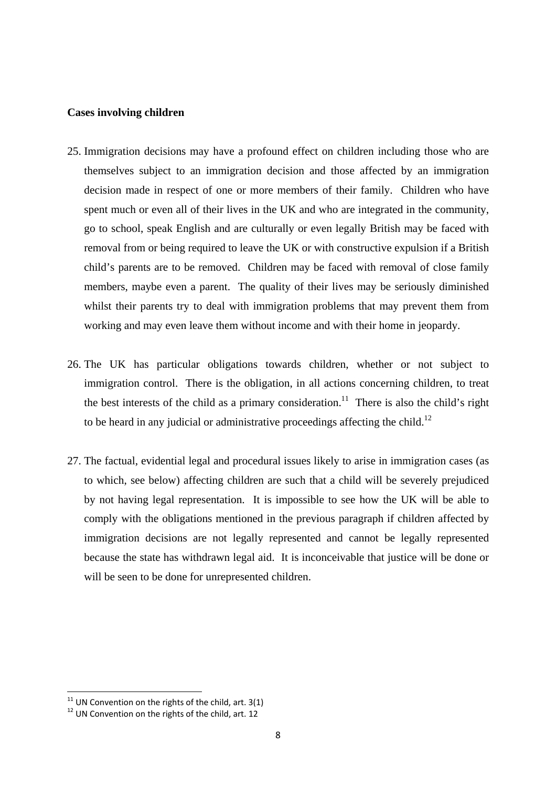## **Cases involving children**

- 25. Immigration decisions may have a profound effect on children including those who are themselves subject to an immigration decision and those affected by an immigration decision made in respect of one or more members of their family. Children who have spent much or even all of their lives in the UK and who are integrated in the community, go to school, speak English and are culturally or even legally British may be faced with removal from or being required to leave the UK or with constructive expulsion if a British child's parents are to be removed. Children may be faced with removal of close family members, maybe even a parent. The quality of their lives may be seriously diminished whilst their parents try to deal with immigration problems that may prevent them from working and may even leave them without income and with their home in jeopardy.
- 26. The UK has particular obligations towards children, whether or not subject to immigration control. There is the obligation, in all actions concerning children, to treat the best interests of the child as a primary consideration.<sup>11</sup> There is also the child's right to be heard in any judicial or administrative proceedings affecting the child.<sup>12</sup>
- 27. The factual, evidential legal and procedural issues likely to arise in immigration cases (as to which, see below) affecting children are such that a child will be severely prejudiced by not having legal representation. It is impossible to see how the UK will be able to comply with the obligations mentioned in the previous paragraph if children affected by immigration decisions are not legally represented and cannot be legally represented because the state has withdrawn legal aid. It is inconceivable that justice will be done or will be seen to be done for unrepresented children.

 $11$  UN Convention on the rights of the child, art. 3(1)

 $12$  UN Convention on the rights of the child, art. 12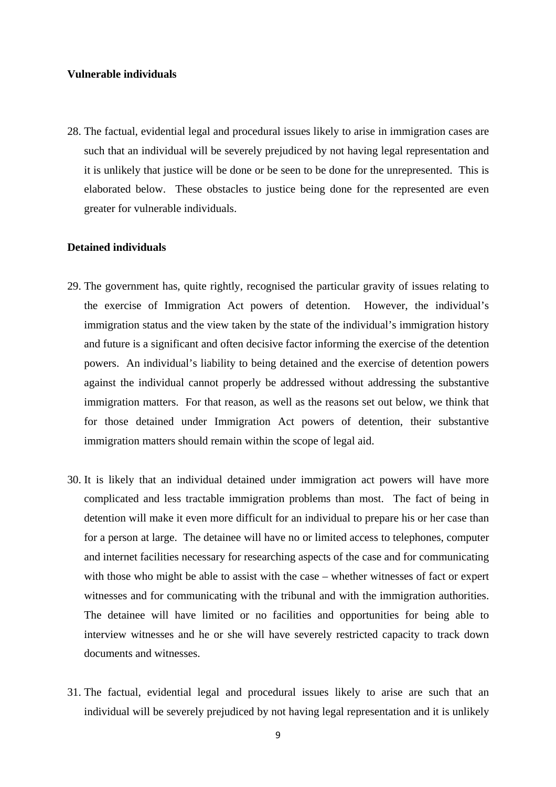#### **Vulnerable individuals**

28. The factual, evidential legal and procedural issues likely to arise in immigration cases are such that an individual will be severely prejudiced by not having legal representation and it is unlikely that justice will be done or be seen to be done for the unrepresented. This is elaborated below. These obstacles to justice being done for the represented are even greater for vulnerable individuals.

## **Detained individuals**

- 29. The government has, quite rightly, recognised the particular gravity of issues relating to the exercise of Immigration Act powers of detention. However, the individual's immigration status and the view taken by the state of the individual's immigration history and future is a significant and often decisive factor informing the exercise of the detention powers. An individual's liability to being detained and the exercise of detention powers against the individual cannot properly be addressed without addressing the substantive immigration matters. For that reason, as well as the reasons set out below, we think that for those detained under Immigration Act powers of detention, their substantive immigration matters should remain within the scope of legal aid.
- 30. It is likely that an individual detained under immigration act powers will have more complicated and less tractable immigration problems than most. The fact of being in detention will make it even more difficult for an individual to prepare his or her case than for a person at large. The detainee will have no or limited access to telephones, computer and internet facilities necessary for researching aspects of the case and for communicating with those who might be able to assist with the case – whether witnesses of fact or expert witnesses and for communicating with the tribunal and with the immigration authorities. The detainee will have limited or no facilities and opportunities for being able to interview witnesses and he or she will have severely restricted capacity to track down documents and witnesses.
- 31. The factual, evidential legal and procedural issues likely to arise are such that an individual will be severely prejudiced by not having legal representation and it is unlikely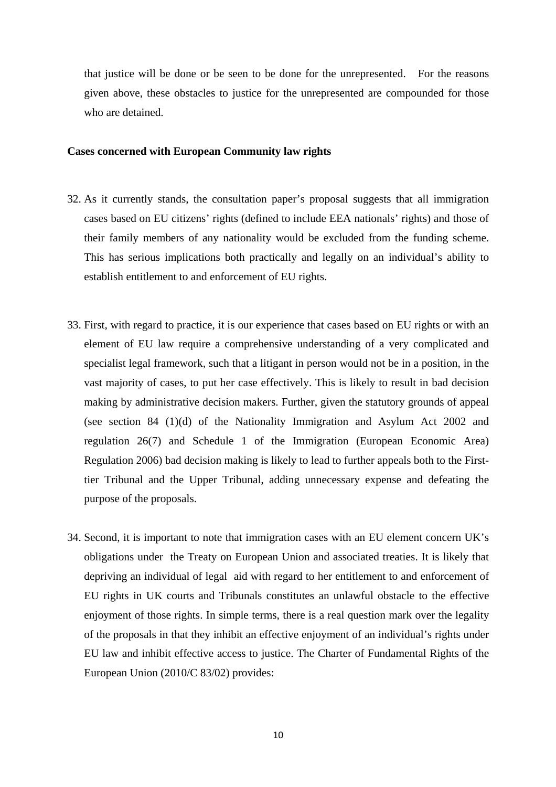that justice will be done or be seen to be done for the unrepresented. For the reasons given above, these obstacles to justice for the unrepresented are compounded for those who are detained.

#### **Cases concerned with European Community law rights**

- 32. As it currently stands, the consultation paper's proposal suggests that all immigration cases based on EU citizens' rights (defined to include EEA nationals' rights) and those of their family members of any nationality would be excluded from the funding scheme. This has serious implications both practically and legally on an individual's ability to establish entitlement to and enforcement of EU rights.
- 33. First, with regard to practice, it is our experience that cases based on EU rights or with an element of EU law require a comprehensive understanding of a very complicated and specialist legal framework, such that a litigant in person would not be in a position, in the vast majority of cases, to put her case effectively. This is likely to result in bad decision making by administrative decision makers. Further, given the statutory grounds of appeal (see section 84 (1)(d) of the Nationality Immigration and Asylum Act 2002 and regulation 26(7) and Schedule 1 of the Immigration (European Economic Area) Regulation 2006) bad decision making is likely to lead to further appeals both to the Firsttier Tribunal and the Upper Tribunal, adding unnecessary expense and defeating the purpose of the proposals.
- 34. Second, it is important to note that immigration cases with an EU element concern UK's obligations under the Treaty on European Union and associated treaties. It is likely that depriving an individual of legal aid with regard to her entitlement to and enforcement of EU rights in UK courts and Tribunals constitutes an unlawful obstacle to the effective enjoyment of those rights. In simple terms, there is a real question mark over the legality of the proposals in that they inhibit an effective enjoyment of an individual's rights under EU law and inhibit effective access to justice. The Charter of Fundamental Rights of the European Union (2010/C 83/02) provides: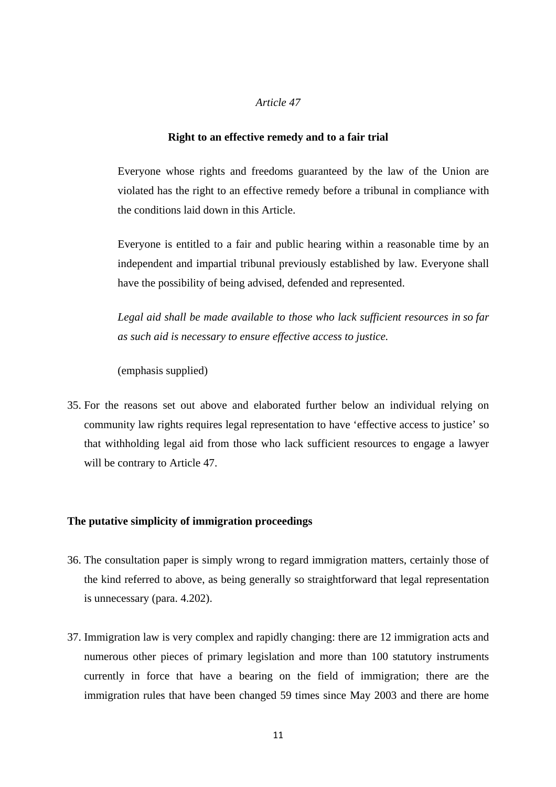#### *Article 47*

#### **Right to an effective remedy and to a fair trial**

Everyone whose rights and freedoms guaranteed by the law of the Union are violated has the right to an effective remedy before a tribunal in compliance with the conditions laid down in this Article.

Everyone is entitled to a fair and public hearing within a reasonable time by an independent and impartial tribunal previously established by law. Everyone shall have the possibility of being advised, defended and represented.

*Legal aid shall be made available to those who lack sufficient resources in so far as such aid is necessary to ensure effective access to justice.*

(emphasis supplied)

35. For the reasons set out above and elaborated further below an individual relying on community law rights requires legal representation to have 'effective access to justice' so that withholding legal aid from those who lack sufficient resources to engage a lawyer will be contrary to Article 47.

#### **The putative simplicity of immigration proceedings**

- 36. The consultation paper is simply wrong to regard immigration matters, certainly those of the kind referred to above, as being generally so straightforward that legal representation is unnecessary (para. 4.202).
- 37. Immigration law is very complex and rapidly changing: there are 12 immigration acts and numerous other pieces of primary legislation and more than 100 statutory instruments currently in force that have a bearing on the field of immigration; there are the immigration rules that have been changed 59 times since May 2003 and there are home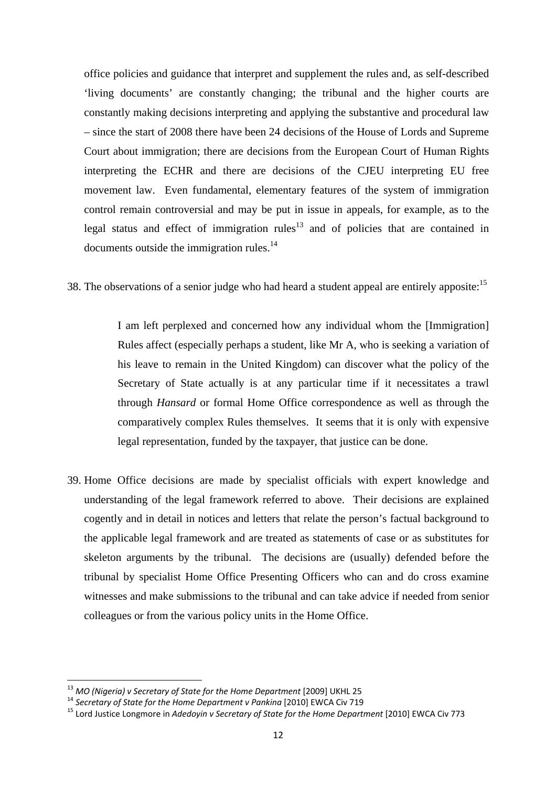office policies and guidance that interpret and supplement the rules and, as self-described 'living documents' are constantly changing; the tribunal and the higher courts are constantly making decisions interpreting and applying the substantive and procedural law – since the start of 2008 there have been 24 decisions of the House of Lords and Supreme Court about immigration; there are decisions from the European Court of Human Rights interpreting the ECHR and there are decisions of the CJEU interpreting EU free movement law. Even fundamental, elementary features of the system of immigration control remain controversial and may be put in issue in appeals, for example, as to the legal status and effect of immigration rules<sup>13</sup> and of policies that are contained in documents outside the immigration rules.<sup>14</sup>

38. The observations of a senior judge who had heard a student appeal are entirely apposite:  $15$ 

I am left perplexed and concerned how any individual whom the [Immigration] Rules affect (especially perhaps a student, like Mr A, who is seeking a variation of his leave to remain in the United Kingdom) can discover what the policy of the Secretary of State actually is at any particular time if it necessitates a trawl through *Hansard* or formal Home Office correspondence as well as through the comparatively complex Rules themselves. It seems that it is only with expensive legal representation, funded by the taxpayer, that justice can be done.

39. Home Office decisions are made by specialist officials with expert knowledge and understanding of the legal framework referred to above. Their decisions are explained cogently and in detail in notices and letters that relate the person's factual background to the applicable legal framework and are treated as statements of case or as substitutes for skeleton arguments by the tribunal. The decisions are (usually) defended before the tribunal by specialist Home Office Presenting Officers who can and do cross examine witnesses and make submissions to the tribunal and can take advice if needed from senior colleagues or from the various policy units in the Home Office.

<sup>&</sup>lt;sup>13</sup> MO (Nigeria) v Secretary of State for the Home Department [2009] UKHL 25

<sup>&</sup>lt;sup>14</sup> Secretary of State for the Home Department v Pankina [2010] EWCA Civ 719<br><sup>15</sup> Lord Justice Longmore in Adedovin v Secretary of State for the Home Department [2010] EWCA Civ 773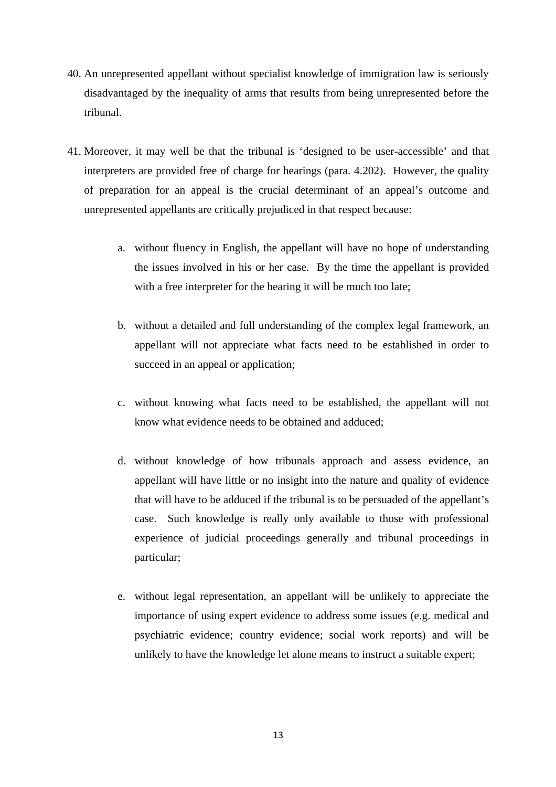- 40. An unrepresented appellant without specialist knowledge of immigration law is seriously disadvantaged by the inequality of arms that results from being unrepresented before the tribunal.
- 41. Moreover, it may well be that the tribunal is 'designed to be user-accessible' and that interpreters are provided free of charge for hearings (para. 4.202). However, the quality of preparation for an appeal is the crucial determinant of an appeal's outcome and unrepresented appellants are critically prejudiced in that respect because:
	- a. without fluency in English, the appellant will have no hope of understanding the issues involved in his or her case. By the time the appellant is provided with a free interpreter for the hearing it will be much too late;
	- b. without a detailed and full understanding of the complex legal framework, an appellant will not appreciate what facts need to be established in order to succeed in an appeal or application;
	- c. without knowing what facts need to be established, the appellant will not know what evidence needs to be obtained and adduced;
	- d. without knowledge of how tribunals approach and assess evidence, an appellant will have little or no insight into the nature and quality of evidence that will have to be adduced if the tribunal is to be persuaded of the appellant's case. Such knowledge is really only available to those with professional experience of judicial proceedings generally and tribunal proceedings in particular;
	- e. without legal representation, an appellant will be unlikely to appreciate the importance of using expert evidence to address some issues (e.g. medical and psychiatric evidence; country evidence; social work reports) and will be unlikely to have the knowledge let alone means to instruct a suitable expert;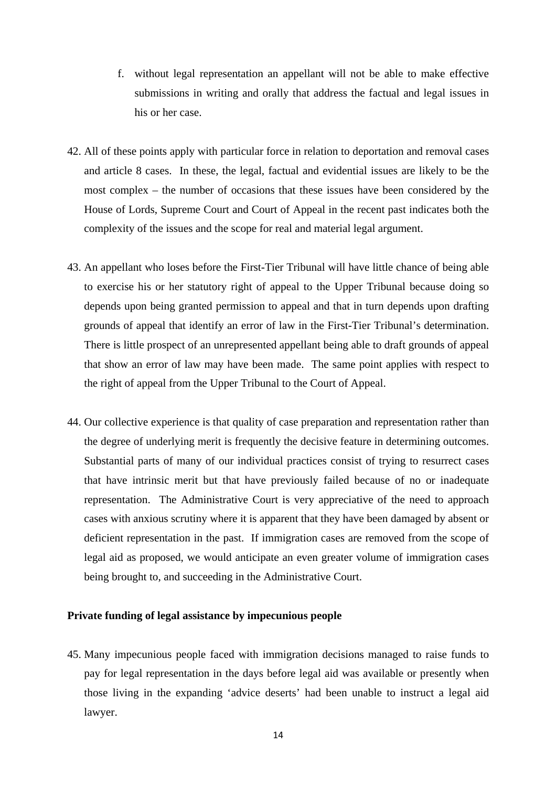- f. without legal representation an appellant will not be able to make effective submissions in writing and orally that address the factual and legal issues in his or her case.
- 42. All of these points apply with particular force in relation to deportation and removal cases and article 8 cases. In these, the legal, factual and evidential issues are likely to be the most complex – the number of occasions that these issues have been considered by the House of Lords, Supreme Court and Court of Appeal in the recent past indicates both the complexity of the issues and the scope for real and material legal argument.
- 43. An appellant who loses before the First-Tier Tribunal will have little chance of being able to exercise his or her statutory right of appeal to the Upper Tribunal because doing so depends upon being granted permission to appeal and that in turn depends upon drafting grounds of appeal that identify an error of law in the First-Tier Tribunal's determination. There is little prospect of an unrepresented appellant being able to draft grounds of appeal that show an error of law may have been made. The same point applies with respect to the right of appeal from the Upper Tribunal to the Court of Appeal.
- 44. Our collective experience is that quality of case preparation and representation rather than the degree of underlying merit is frequently the decisive feature in determining outcomes. Substantial parts of many of our individual practices consist of trying to resurrect cases that have intrinsic merit but that have previously failed because of no or inadequate representation. The Administrative Court is very appreciative of the need to approach cases with anxious scrutiny where it is apparent that they have been damaged by absent or deficient representation in the past. If immigration cases are removed from the scope of legal aid as proposed, we would anticipate an even greater volume of immigration cases being brought to, and succeeding in the Administrative Court.

# **Private funding of legal assistance by impecunious people**

45. Many impecunious people faced with immigration decisions managed to raise funds to pay for legal representation in the days before legal aid was available or presently when those living in the expanding 'advice deserts' had been unable to instruct a legal aid lawyer.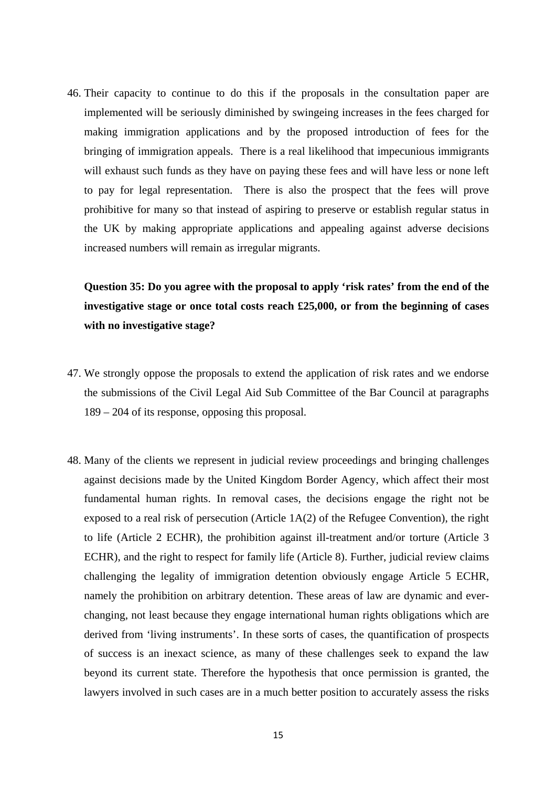46. Their capacity to continue to do this if the proposals in the consultation paper are implemented will be seriously diminished by swingeing increases in the fees charged for making immigration applications and by the proposed introduction of fees for the bringing of immigration appeals. There is a real likelihood that impecunious immigrants will exhaust such funds as they have on paying these fees and will have less or none left to pay for legal representation. There is also the prospect that the fees will prove prohibitive for many so that instead of aspiring to preserve or establish regular status in the UK by making appropriate applications and appealing against adverse decisions increased numbers will remain as irregular migrants.

**Question 35: Do you agree with the proposal to apply 'risk rates' from the end of the investigative stage or once total costs reach £25,000, or from the beginning of cases with no investigative stage?** 

- 47. We strongly oppose the proposals to extend the application of risk rates and we endorse the submissions of the Civil Legal Aid Sub Committee of the Bar Council at paragraphs 189 – 204 of its response, opposing this proposal.
- 48. Many of the clients we represent in judicial review proceedings and bringing challenges against decisions made by the United Kingdom Border Agency, which affect their most fundamental human rights. In removal cases, the decisions engage the right not be exposed to a real risk of persecution (Article  $1A(2)$  of the Refugee Convention), the right to life (Article 2 ECHR), the prohibition against ill-treatment and/or torture (Article 3 ECHR), and the right to respect for family life (Article 8). Further, judicial review claims challenging the legality of immigration detention obviously engage Article 5 ECHR, namely the prohibition on arbitrary detention. These areas of law are dynamic and everchanging, not least because they engage international human rights obligations which are derived from 'living instruments'. In these sorts of cases, the quantification of prospects of success is an inexact science, as many of these challenges seek to expand the law beyond its current state. Therefore the hypothesis that once permission is granted, the lawyers involved in such cases are in a much better position to accurately assess the risks